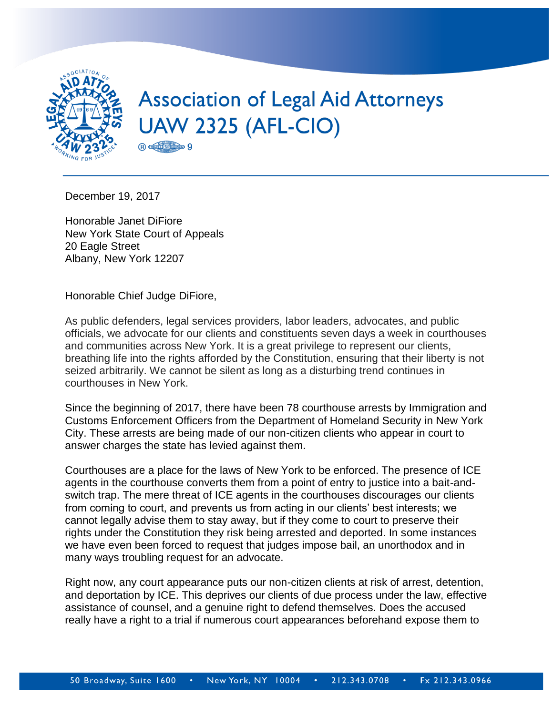

December 19, 2017

Honorable Janet DiFiore New York State Court of Appeals 20 Eagle Street Albany, New York 12207

Honorable Chief Judge DiFiore,

As public defenders, legal services providers, labor leaders, advocates, and public officials, we advocate for our clients and constituents seven days a week in courthouses and communities across New York. It is a great privilege to represent our clients, breathing life into the rights afforded by the Constitution, ensuring that their liberty is not seized arbitrarily. We cannot be silent as long as a disturbing trend continues in courthouses in New York.

Since the beginning of 2017, there have been 78 courthouse arrests by Immigration and Customs Enforcement Officers from the Department of Homeland Security in New York City. These arrests are being made of our non-citizen clients who appear in court to answer charges the state has levied against them.

Courthouses are a place for the laws of New York to be enforced. The presence of ICE agents in the courthouse converts them from a point of entry to justice into a bait-andswitch trap. The mere threat of ICE agents in the courthouses discourages our clients from coming to court, and prevents us from acting in our clients' best interests; we cannot legally advise them to stay away, but if they come to court to preserve their rights under the Constitution they risk being arrested and deported. In some instances we have even been forced to request that judges impose bail, an unorthodox and in many ways troubling request for an advocate.

Right now, any court appearance puts our non-citizen clients at risk of arrest, detention, and deportation by ICE. This deprives our clients of due process under the law, effective assistance of counsel, and a genuine right to defend themselves. Does the accused really have a right to a trial if numerous court appearances beforehand expose them to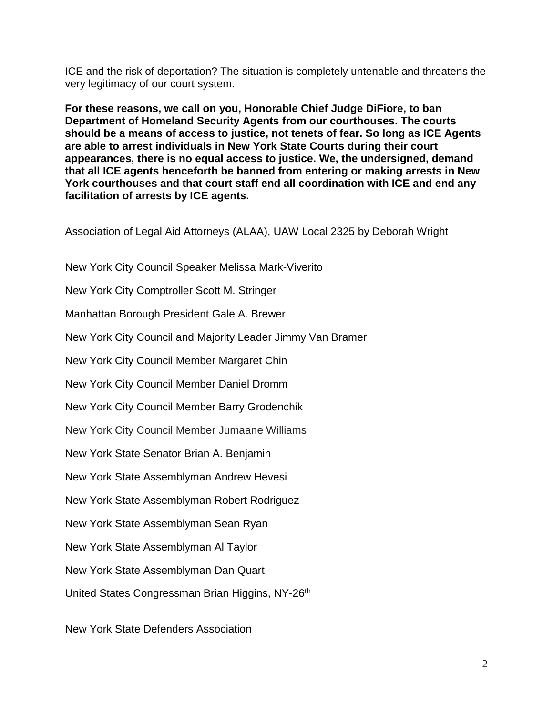ICE and the risk of deportation? The situation is completely untenable and threatens the very legitimacy of our court system.

**For these reasons, we call on you, Honorable Chief Judge DiFiore, to ban Department of Homeland Security Agents from our courthouses. The courts should be a means of access to justice, not tenets of fear. So long as ICE Agents are able to arrest individuals in New York State Courts during their court appearances, there is no equal access to justice. We, the undersigned, demand that all ICE agents henceforth be banned from entering or making arrests in New York courthouses and that court staff end all coordination with ICE and end any facilitation of arrests by ICE agents.** 

Association of Legal Aid Attorneys (ALAA), UAW Local 2325 by Deborah Wright

New York City Council Speaker Melissa Mark-Viverito

New York City Comptroller Scott M. Stringer

Manhattan Borough President Gale A. Brewer

New York City Council and Majority Leader Jimmy Van Bramer

New York City Council Member Margaret Chin

New York City Council Member Daniel Dromm

New York City Council Member Barry Grodenchik

New York City Council Member Jumaane Williams

New York State Senator Brian A. Benjamin

New York State Assemblyman Andrew Hevesi

New York State Assemblyman Robert Rodriguez

New York State Assemblyman Sean Ryan

New York State Assemblyman Al Taylor

New York State Assemblyman Dan Quart

United States Congressman Brian Higgins, NY-26th

New York State Defenders Association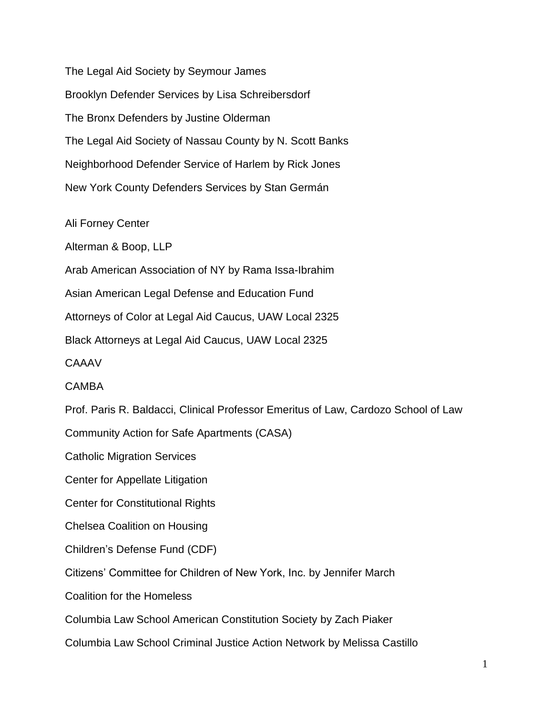The Legal Aid Society by Seymour James Brooklyn Defender Services by Lisa Schreibersdorf The Bronx Defenders by Justine Olderman The Legal Aid Society of Nassau County by N. Scott Banks Neighborhood Defender Service of Harlem by Rick Jones New York County Defenders Services by Stan Germán

Ali Forney Center

Alterman & Boop, LLP

Arab American Association of NY by Rama Issa-Ibrahim

Asian American Legal Defense and Education Fund

Attorneys of Color at Legal Aid Caucus, UAW Local 2325

Black Attorneys at Legal Aid Caucus, UAW Local 2325

**CAAAV** 

## **CAMBA**

Prof. Paris R. Baldacci, Clinical Professor Emeritus of Law, Cardozo School of Law

Community Action for Safe Apartments (CASA)

Catholic Migration Services

Center for Appellate Litigation

Center for Constitutional Rights

Chelsea Coalition on Housing

Children's Defense Fund (CDF)

Citizens' Committee for Children of New York, Inc. by Jennifer March

Coalition for the Homeless

Columbia Law School American Constitution Society by Zach Piaker

Columbia Law School Criminal Justice Action Network by Melissa Castillo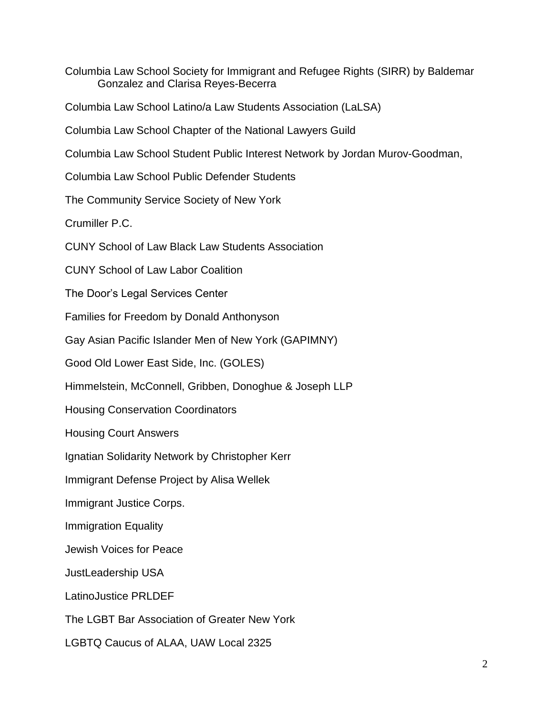Columbia Law School Society for Immigrant and Refugee Rights (SIRR) by Baldemar Gonzalez and Clarisa Reyes-Becerra

Columbia Law School Latino/a Law Students Association (LaLSA)

Columbia Law School Chapter of the National Lawyers Guild

Columbia Law School Student Public Interest Network by Jordan Murov-Goodman,

Columbia Law School Public Defender Students

The Community Service Society of New York

Crumiller P.C.

CUNY School of Law Black Law Students Association

CUNY School of Law Labor Coalition

The Door's Legal Services Center

Families for Freedom by Donald Anthonyson

Gay Asian Pacific Islander Men of New York (GAPIMNY)

Good Old Lower East Side, Inc. (GOLES)

Himmelstein, McConnell, Gribben, Donoghue & Joseph LLP

Housing Conservation Coordinators

Housing Court Answers

Ignatian Solidarity Network by Christopher Kerr

Immigrant Defense Project by Alisa Wellek

Immigrant Justice Corps.

Immigration Equality

Jewish Voices for Peace

JustLeadership USA

LatinoJustice PRLDEF

The LGBT Bar Association of Greater New York

LGBTQ Caucus of ALAA, UAW Local 2325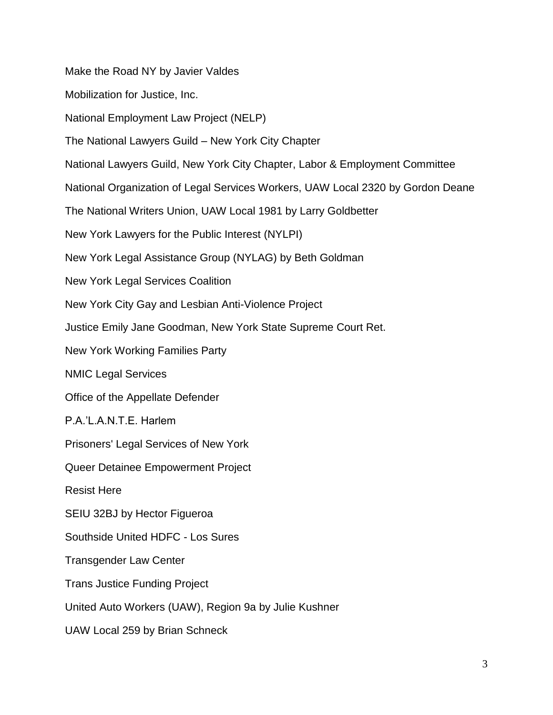Make the Road NY by Javier Valdes Mobilization for Justice, Inc. National Employment Law Project (NELP) The National Lawyers Guild – New York City Chapter National Lawyers Guild, New York City Chapter, Labor & Employment Committee National Organization of Legal Services Workers, UAW Local 2320 by Gordon Deane The National Writers Union, UAW Local 1981 by Larry Goldbetter New York Lawyers for the Public Interest (NYLPI) New York Legal Assistance Group (NYLAG) by Beth Goldman New York Legal Services Coalition New York City Gay and Lesbian Anti-Violence Project Justice Emily Jane Goodman, New York State Supreme Court Ret. New York Working Families Party NMIC Legal Services Office of the Appellate Defender P.A.'L.A.N.T.E. Harlem Prisoners' Legal Services of New York Queer Detainee Empowerment Project Resist Here SEIU 32BJ by Hector Figueroa Southside United HDFC - Los Sures Transgender Law Center Trans Justice Funding Project United Auto Workers (UAW), Region 9a by Julie Kushner UAW Local 259 by Brian Schneck